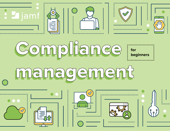

# Compliance Compliance For managementmanagement  $\bigcirc$  $\overline{\mathcal{S}}$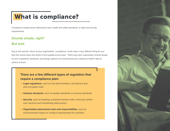### What is compliance?

Compliance simply means adhering to laws, health and safety standards, or data and security requirements.

### **Sounds simple, right?**

#### **But wait.**

Due to the specific nature of your organization, 'compliance' could mean a very different thing for you than the school down the street or the hospital across town. That's why each organization should design its own compliance standards, and design systems for ensuring that your network of staff is able to adhere to them.

#### **There are a few different types of regulation that require a compliance plan:**

- **• Legal regulations**, such as anti-discrimination, anti-slavery and anti-corruption laws
- **• Industry standards**, such as quality standards or privacy standards
- **• Security**, such as keeping a physical location safe, ensuring control over devices and maintaining data privacy
- **• Organization-determined rules and responsibilities**, such as environmental impact or conduct requirements for vendors.

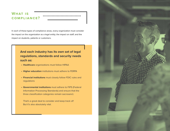#### **What is compliance?**

In each of these types of compliance areas, every organization must consider the impact on the organization as a legal entity; the impact on staff; and the impact on students, patients or customers.

#### **And each industry has its own set of legal regulations, standards and security needs such as:**

- **• Healthcare** organizations must follow HIPAA
- **• Higher education** institutions must adhere to FERPA
- **• Financial institutions** must closely follow FDIC rules and regulations
- **• Governmental institutions** must adhere to FIPS (Federal Information Processing Standards) and ensure that the three classification categories remain sacrosanct.

That's a great deal to consider and keep track of! But it's also absolutely vital.

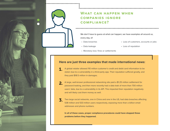#### **What can happen when companies ignore compliance?**

We don't have to quess at what can happen; we have examples all around us, every day, of:

- Data breaches
- Data leakage

• Loss of customers, accounts or jobs

- Loss of reputation
- Monetary loss: fines or settlements

#### **Here are just three examples that made international news:**

- A global retailer allowed 110 million customer's credit and debit card information to be stolen due to a vulnerability in a third-party app. Their reputation suffered greatly, and they paid \$18.5 million in damages. 1.
- A large, well-known professional networking site paid a \$1.25 million settlement for password leaking, and then more recently had a data leak of more than 700 million users' data, due to a vulnerability in its API. This impacted their reputation negatively and will likely cost them money as well. 2.
- Two large social networks, one in China and one in the US, had data breaches affecting 538 million and 533 million users respectively, exposing more than a billion email addresses and phone numbers. 3.

**In all of these cases, proper compliance procedures could have stopped these problems before they happened.**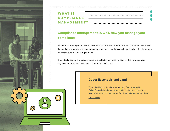

| <b>WHAT IS</b> |  |
|----------------|--|
| COMPLIANCE __  |  |
|                |  |

#### **Compliance management is, well, how you manage your compliance.**

It's the policies and procedures your organization enacts in order to ensure compliance in all areas, it's the digital tools you use to ensure compliance and  $-$  perhaps most importantly  $-$  it is the people who make sure that all of it gets done.

These tools, people and processes work to detect compliance violations, which protects your organization from these violations — and potential disaster.

#### **Cyber Essentials and Jamf**

When the UK's National Cyber Security Centre issued its **[Cyber Essentials](https://www.ncsc.gov.uk/cyberessentials/overview)** scheme, organizations wishing to meet the new requirements turned to Jamf for help in implementing them.

**[Learn More](https://www.jamf.com/resources/white-papers/ncsc-cyber-essentials/?utm_source=asset-link&utm_medium=pdf&utm_campaign=it-infosec-efficiency&utm_content=2021-10-13_shared_)**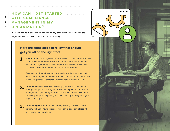#### **How can I get started with compliance management in my organization?**

All of this can be overwhelming, but as with any large task you break down the larger pieces into smaller ones, and you ask for help.

#### **Here are some steps to follow that should get you off on the right foot.**

**Ensure buy-in.** Your organization must be all on board for an effective compliance management system, and it must be from right at the top. Collect together a group of people who can enact these new processes throughout the entirety of your organization. 1.

Take stock of the entire compliance landscape for your organization: each type of regulation, regulations specific to your industry and how these safeguards will protect your organization, staff and clients.

- **Conduct a risk assessment.** Assessing your risks will lead you to the right compliance management. The whole point of compliance management is, ultimately, to reduce risk. Take a look at all of your systems: your physical plant, your ethical and legal safeguards, your digital landscape. 2.
- **Conduct a policy audit.** Subjecting any existing policies to close scrutiny with your new risk assessment can expose any places where you need to make updates. 3.

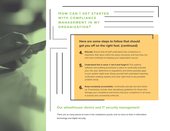**How can I get started with compliance management in my organization?**

#### **Here are some steps to follow that should get you off on the right foot. (continued)**

- **Educate.** Ensure that all staff understand why compliance is important, their place within the policy structures and how they can and must contribute to keeping your organization secure. 4.
- **Understand this is never a 'set it and forget it.' Put systems,** software and auditing procedures in place to continually evaluate your risk, your adherence to regulations and where possible gaps in your system might arise. Equip yourself with automated reporting, verification auditing systems and clear sight lines to any possible problem areas. 5.
- **Keep everybody accountable.** Continually educate and also follow up. If necessary, include clear disciplinary guidelines for those who damage your compliance and ensure that your compliance in all areas is actively and consistently enforced. 6.

#### **Our wheelhouse: device and IT security management**

There are so many pieces to track in the compliance puzzle, and no more so than in information technology and digital security.